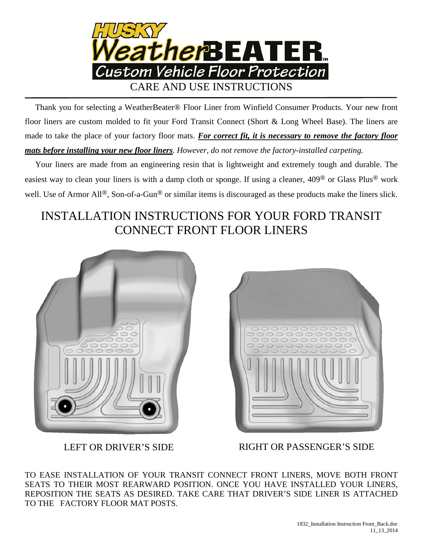

 Thank you for selecting a WeatherBeater® Floor Liner from Winfield Consumer Products. Your new front floor liners are custom molded to fit your Ford Transit Connect (Short & Long Wheel Base). The liners are made to take the place of your factory floor mats. For correct fit, it is necessary to remove the factory floor *mats before installing your new floor liners*. *However, do not remove the factory-installed carpeting.*

 Your liners are made from an engineering resin that is lightweight and extremely tough and durable. The easiest way to clean your liners is with a damp cloth or sponge. If using a cleaner, 409® or Glass Plus® work well. Use of Armor All<sup>®</sup>, Son-of-a-Gun<sup>®</sup> or similar items is discouraged as these products make the liners slick.

## INSTALLATION INSTRUCTIONS FOR YOUR FORD TRANSIT CONNECT FRONT FLOOR LINERS





LEFT OR DRIVER'S SIDE RIGHT OR PASSENGER'S SIDE

TO EASE INSTALLATION OF YOUR TRANSIT CONNECT FRONT LINERS, MOVE BOTH FRONT SEATS TO THEIR MOST REARWARD POSITION. ONCE YOU HAVE INSTALLED YOUR LINERS, REPOSITION THE SEATS AS DESIRED. TAKE CARE THAT DRIVER'S SIDE LINER IS ATTACHED TO THE FACTORY FLOOR MAT POSTS.